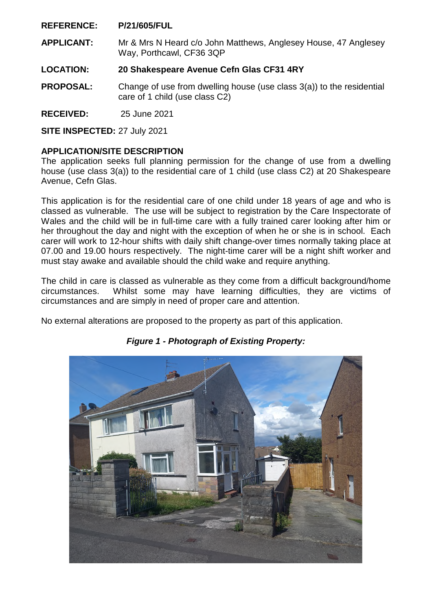#### **REFERENCE: P/21/605/FUL**

**APPLICANT:** Mr & Mrs N Heard c/o John Matthews, Anglesey House, 47 Anglesey Way, Porthcawl, CF36 3QP

#### **LOCATION: 20 Shakespeare Avenue Cefn Glas CF31 4RY**

- **PROPOSAL:** Change of use from dwelling house (use class 3(a)) to the residential care of 1 child (use class C2)
- **RECEIVED:** 25 June 2021

**SITE INSPECTED:** 27 July 2021

#### **APPLICATION/SITE DESCRIPTION**

The application seeks full planning permission for the change of use from a dwelling house (use class 3(a)) to the residential care of 1 child (use class C2) at 20 Shakespeare Avenue, Cefn Glas.

This application is for the residential care of one child under 18 years of age and who is classed as vulnerable. The use will be subject to registration by the Care Inspectorate of Wales and the child will be in full-time care with a fully trained carer looking after him or her throughout the day and night with the exception of when he or she is in school. Each carer will work to 12-hour shifts with daily shift change-over times normally taking place at 07.00 and 19.00 hours respectively. The night-time carer will be a night shift worker and must stay awake and available should the child wake and require anything.

The child in care is classed as vulnerable as they come from a difficult background/home circumstances. Whilst some may have learning difficulties, they are victims of circumstances and are simply in need of proper care and attention.

No external alterations are proposed to the property as part of this application.



*Figure 1 - Photograph of Existing Property:*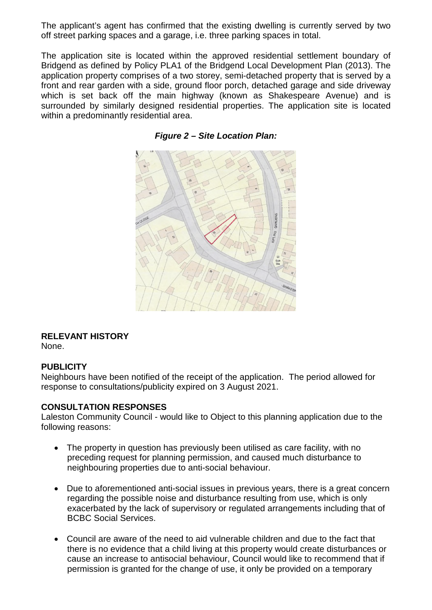The applicant's agent has confirmed that the existing dwelling is currently served by two off street parking spaces and a garage, i.e. three parking spaces in total.

The application site is located within the approved residential settlement boundary of Bridgend as defined by Policy PLA1 of the Bridgend Local Development Plan (2013). The application property comprises of a two storey, semi-detached property that is served by a front and rear garden with a side, ground floor porch, detached garage and side driveway which is set back off the main highway (known as Shakespeare Avenue) and is surrounded by similarly designed residential properties. The application site is located within a predominantly residential area.

*Figure 2 – Site Location Plan:* 

# **RELEVANT HISTORY**

None.

#### **PUBLICITY**

Neighbours have been notified of the receipt of the application. The period allowed for response to consultations/publicity expired on 3 August 2021.

#### **CONSULTATION RESPONSES**

Laleston Community Council - would like to Object to this planning application due to the following reasons:

- The property in question has previously been utilised as care facility, with no preceding request for planning permission, and caused much disturbance to neighbouring properties due to anti-social behaviour.
- Due to aforementioned anti-social issues in previous years, there is a great concern regarding the possible noise and disturbance resulting from use, which is only exacerbated by the lack of supervisory or regulated arrangements including that of BCBC Social Services.
- Council are aware of the need to aid vulnerable children and due to the fact that there is no evidence that a child living at this property would create disturbances or cause an increase to antisocial behaviour, Council would like to recommend that if permission is granted for the change of use, it only be provided on a temporary

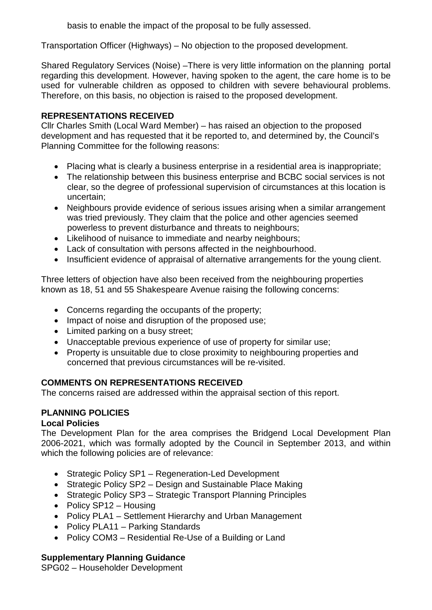basis to enable the impact of the proposal to be fully assessed.

Transportation Officer (Highways) – No objection to the proposed development.

Shared Regulatory Services (Noise) –There is very little information on the planning portal regarding this development. However, having spoken to the agent, the care home is to be used for vulnerable children as opposed to children with severe behavioural problems. Therefore, on this basis, no objection is raised to the proposed development.

# **REPRESENTATIONS RECEIVED**

Cllr Charles Smith (Local Ward Member) – has raised an objection to the proposed development and has requested that it be reported to, and determined by, the Council's Planning Committee for the following reasons:

- Placing what is clearly a business enterprise in a residential area is inappropriate;
- The relationship between this business enterprise and BCBC social services is not clear, so the degree of professional supervision of circumstances at this location is uncertain;
- Neighbours provide evidence of serious issues arising when a similar arrangement was tried previously. They claim that the police and other agencies seemed powerless to prevent disturbance and threats to neighbours;
- Likelihood of nuisance to immediate and nearby neighbours;
- Lack of consultation with persons affected in the neighbourhood.
- Insufficient evidence of appraisal of alternative arrangements for the young client.

Three letters of objection have also been received from the neighbouring properties known as 18, 51 and 55 Shakespeare Avenue raising the following concerns:

- Concerns regarding the occupants of the property;
- Impact of noise and disruption of the proposed use;
- Limited parking on a busy street:
- Unacceptable previous experience of use of property for similar use;
- Property is unsuitable due to close proximity to neighbouring properties and concerned that previous circumstances will be re-visited.

# **COMMENTS ON REPRESENTATIONS RECEIVED**

The concerns raised are addressed within the appraisal section of this report.

# **PLANNING POLICIES**

# **Local Policies**

The Development Plan for the area comprises the Bridgend Local Development Plan 2006-2021, which was formally adopted by the Council in September 2013, and within which the following policies are of relevance:

- Strategic Policy SP1 Regeneration-Led Development
- Strategic Policy SP2 Design and Sustainable Place Making
- Strategic Policy SP3 Strategic Transport Planning Principles
- Policy SP12 Housing
- Policy PLA1 Settlement Hierarchy and Urban Management
- Policy PLA11 Parking Standards
- Policy COM3 Residential Re-Use of a Building or Land

# **Supplementary Planning Guidance**

SPG02 – Householder Development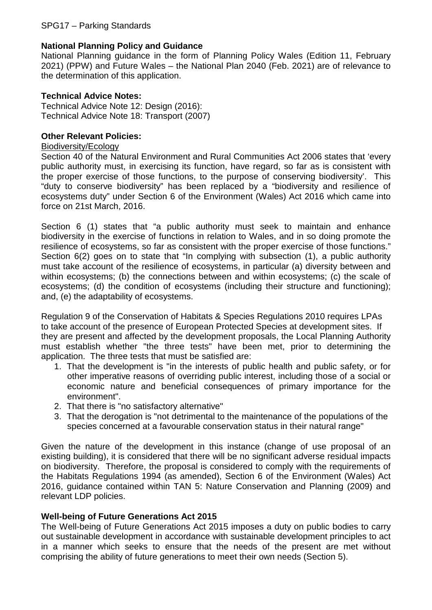# **National Planning Policy and Guidance**

National Planning guidance in the form of Planning Policy Wales (Edition 11, February 2021) (PPW) and Future Wales – the National Plan 2040 (Feb. 2021) are of relevance to the determination of this application.

#### **Technical Advice Notes:**

Technical Advice Note 12: Design (2016): Technical Advice Note 18: Transport (2007)

#### **Other Relevant Policies:**

#### Biodiversity/Ecology

Section 40 of the Natural Environment and Rural Communities Act 2006 states that 'every public authority must, in exercising its function, have regard, so far as is consistent with the proper exercise of those functions, to the purpose of conserving biodiversity'. This "duty to conserve biodiversity" has been replaced by a "biodiversity and resilience of ecosystems duty" under Section 6 of the Environment (Wales) Act 2016 which came into force on 21st March, 2016.

Section 6 (1) states that "a public authority must seek to maintain and enhance biodiversity in the exercise of functions in relation to Wales, and in so doing promote the resilience of ecosystems, so far as consistent with the proper exercise of those functions." Section 6(2) goes on to state that "In complying with subsection (1), a public authority must take account of the resilience of ecosystems, in particular (a) diversity between and within ecosystems; (b) the connections between and within ecosystems; (c) the scale of ecosystems; (d) the condition of ecosystems (including their structure and functioning); and, (e) the adaptability of ecosystems.

Regulation 9 of the Conservation of Habitats & Species Regulations 2010 requires LPAs to take account of the presence of European Protected Species at development sites. If they are present and affected by the development proposals, the Local Planning Authority must establish whether "the three tests" have been met, prior to determining the application. The three tests that must be satisfied are:

- 1. That the development is "in the interests of public health and public safety, or for other imperative reasons of overriding public interest, including those of a social or economic nature and beneficial consequences of primary importance for the environment".
- 2. That there is "no satisfactory alternative"
- 3. That the derogation is "not detrimental to the maintenance of the populations of the species concerned at a favourable conservation status in their natural range"

Given the nature of the development in this instance (change of use proposal of an existing building), it is considered that there will be no significant adverse residual impacts on biodiversity. Therefore, the proposal is considered to comply with the requirements of the Habitats Regulations 1994 (as amended), Section 6 of the Environment (Wales) Act 2016, guidance contained within TAN 5: Nature Conservation and Planning (2009) and relevant LDP policies.

#### **Well-being of Future Generations Act 2015**

The Well-being of Future Generations Act 2015 imposes a duty on public bodies to carry out sustainable development in accordance with sustainable development principles to act in a manner which seeks to ensure that the needs of the present are met without comprising the ability of future generations to meet their own needs (Section 5).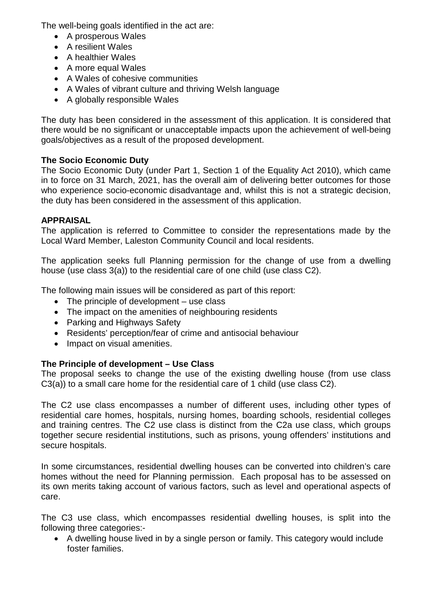The well-being goals identified in the act are:

- A prosperous Wales
- A resilient Wales
- A healthier Wales
- A more equal Wales
- A Wales of cohesive communities
- A Wales of vibrant culture and thriving Welsh language
- A globally responsible Wales

The duty has been considered in the assessment of this application. It is considered that there would be no significant or unacceptable impacts upon the achievement of well-being goals/objectives as a result of the proposed development.

# **The Socio Economic Duty**

The Socio Economic Duty (under Part 1, Section 1 of the Equality Act 2010), which came in to force on 31 March, 2021, has the overall aim of delivering better outcomes for those who experience socio-economic disadvantage and, whilst this is not a strategic decision, the duty has been considered in the assessment of this application.

# **APPRAISAL**

The application is referred to Committee to consider the representations made by the Local Ward Member, Laleston Community Council and local residents.

The application seeks full Planning permission for the change of use from a dwelling house (use class 3(a)) to the residential care of one child (use class C2).

The following main issues will be considered as part of this report:

- The principle of development use class
- The impact on the amenities of neighbouring residents
- Parking and Highways Safety
- Residents' perception/fear of crime and antisocial behaviour
- Impact on visual amenities.

# **The Principle of development – Use Class**

The proposal seeks to change the use of the existing dwelling house (from use class C3(a)) to a small care home for the residential care of 1 child (use class C2).

The C2 use class encompasses a number of different uses, including other types of residential care homes, hospitals, nursing homes, boarding schools, residential colleges and training centres. The C2 use class is distinct from the C2a use class, which groups together secure residential institutions, such as prisons, young offenders' institutions and secure hospitals.

In some circumstances, residential dwelling houses can be converted into children's care homes without the need for Planning permission. Each proposal has to be assessed on its own merits taking account of various factors, such as level and operational aspects of care.

The C3 use class, which encompasses residential dwelling houses, is split into the following three categories:-

• A dwelling house lived in by a single person or family. This category would include foster families.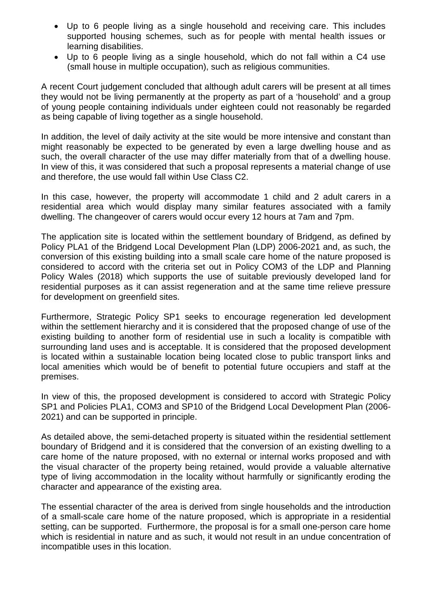- Up to 6 people living as a single household and receiving care. This includes supported housing schemes, such as for people with mental health issues or learning disabilities.
- Up to 6 people living as a single household, which do not fall within a C4 use (small house in multiple occupation), such as religious communities.

A recent Court judgement concluded that although adult carers will be present at all times they would not be living permanently at the property as part of a 'household' and a group of young people containing individuals under eighteen could not reasonably be regarded as being capable of living together as a single household.

In addition, the level of daily activity at the site would be more intensive and constant than might reasonably be expected to be generated by even a large dwelling house and as such, the overall character of the use may differ materially from that of a dwelling house. In view of this, it was considered that such a proposal represents a material change of use and therefore, the use would fall within Use Class C2.

In this case, however, the property will accommodate 1 child and 2 adult carers in a residential area which would display many similar features associated with a family dwelling. The changeover of carers would occur every 12 hours at 7am and 7pm.

The application site is located within the settlement boundary of Bridgend, as defined by Policy PLA1 of the Bridgend Local Development Plan (LDP) 2006-2021 and, as such, the conversion of this existing building into a small scale care home of the nature proposed is considered to accord with the criteria set out in Policy COM3 of the LDP and Planning Policy Wales (2018) which supports the use of suitable previously developed land for residential purposes as it can assist regeneration and at the same time relieve pressure for development on greenfield sites.

Furthermore, Strategic Policy SP1 seeks to encourage regeneration led development within the settlement hierarchy and it is considered that the proposed change of use of the existing building to another form of residential use in such a locality is compatible with surrounding land uses and is acceptable. It is considered that the proposed development is located within a sustainable location being located close to public transport links and local amenities which would be of benefit to potential future occupiers and staff at the premises.

In view of this, the proposed development is considered to accord with Strategic Policy SP1 and Policies PLA1, COM3 and SP10 of the Bridgend Local Development Plan (2006- 2021) and can be supported in principle.

As detailed above, the semi-detached property is situated within the residential settlement boundary of Bridgend and it is considered that the conversion of an existing dwelling to a care home of the nature proposed, with no external or internal works proposed and with the visual character of the property being retained, would provide a valuable alternative type of living accommodation in the locality without harmfully or significantly eroding the character and appearance of the existing area.

The essential character of the area is derived from single households and the introduction of a small-scale care home of the nature proposed, which is appropriate in a residential setting, can be supported. Furthermore, the proposal is for a small one-person care home which is residential in nature and as such, it would not result in an undue concentration of incompatible uses in this location.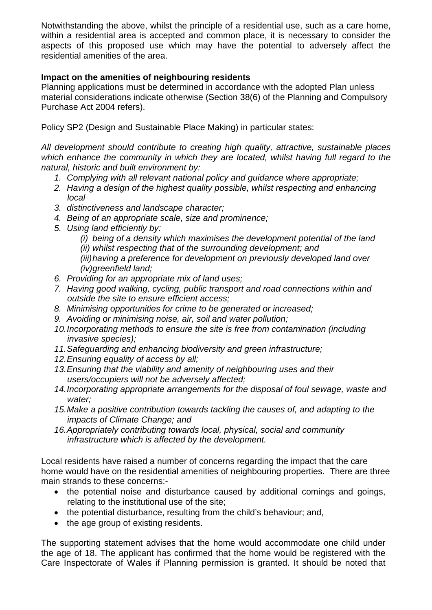Notwithstanding the above, whilst the principle of a residential use, such as a care home, within a residential area is accepted and common place, it is necessary to consider the aspects of this proposed use which may have the potential to adversely affect the residential amenities of the area.

### **Impact on the amenities of neighbouring residents**

Planning applications must be determined in accordance with the adopted Plan unless material considerations indicate otherwise (Section 38(6) of the Planning and Compulsory Purchase Act 2004 refers).

Policy SP2 (Design and Sustainable Place Making) in particular states:

*All development should contribute to creating high quality, attractive, sustainable places which enhance the community in which they are located, whilst having full regard to the natural, historic and built environment by:* 

- *1. Complying with all relevant national policy and guidance where appropriate;*
- 2. Having a design of the highest quality possible, whilst respecting and enhancing *local*
- *3. distinctiveness and landscape character;*
- *4. Being of an appropriate scale, size and prominence;*
- *5. Using land efficiently by:* 
	- *(i) being of a density which maximises the development potential of the land*
	- *(ii) whilst respecting that of the surrounding development; and*

*(iii) having a preference for development on previously developed land over (iv) greenfield land;* 

- *6. Providing for an appropriate mix of land uses;*
- *7. Having good walking, cycling, public transport and road connections within and outside the site to ensure efficient access;*
- *8. Minimising opportunities for crime to be generated or increased;*
- *9. Avoiding or minimising noise, air, soil and water pollution;*
- *10. Incorporating methods to ensure the site is free from contamination (including invasive species);*
- *11. Safeguarding and enhancing biodiversity and green infrastructure;*
- *12. Ensuring equality of access by all;*
- *13. Ensuring that the viability and amenity of neighbouring uses and their users/occupiers will not be adversely affected;*
- *14. Incorporating appropriate arrangements for the disposal of foul sewage, waste and water;*
- *15. Make a positive contribution towards tackling the causes of, and adapting to the impacts of Climate Change; and*
- *16. Appropriately contributing towards local, physical, social and community infrastructure which is affected by the development.*

Local residents have raised a number of concerns regarding the impact that the care home would have on the residential amenities of neighbouring properties. There are three main strands to these concerns:-

- the potential noise and disturbance caused by additional comings and goings, relating to the institutional use of the site;
- the potential disturbance, resulting from the child's behaviour; and,
- the age group of existing residents.

The supporting statement advises that the home would accommodate one child under the age of 18. The applicant has confirmed that the home would be registered with the Care Inspectorate of Wales if Planning permission is granted. It should be noted that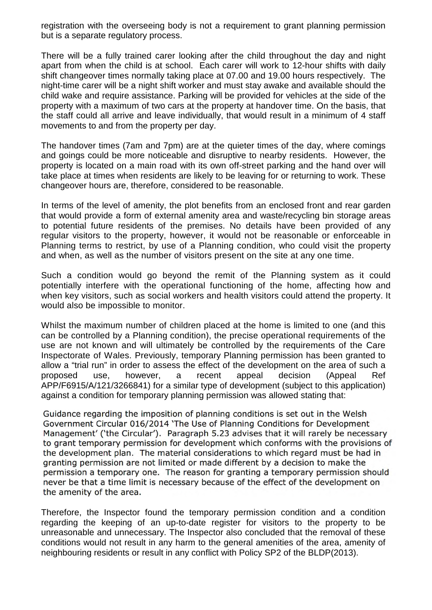registration with the overseeing body is not a requirement to grant planning permission but is a separate regulatory process.

There will be a fully trained carer looking after the child throughout the day and night apart from when the child is at school. Each carer will work to 12-hour shifts with daily shift changeover times normally taking place at 07.00 and 19.00 hours respectively. The night-time carer will be a night shift worker and must stay awake and available should the child wake and require assistance. Parking will be provided for vehicles at the side of the property with a maximum of two cars at the property at handover time. On the basis, that the staff could all arrive and leave individually, that would result in a minimum of 4 staff movements to and from the property per day.

The handover times (7am and 7pm) are at the quieter times of the day, where comings and goings could be more noticeable and disruptive to nearby residents. However, the property is located on a main road with its own off-street parking and the hand over will take place at times when residents are likely to be leaving for or returning to work. These changeover hours are, therefore, considered to be reasonable.

In terms of the level of amenity, the plot benefits from an enclosed front and rear garden that would provide a form of external amenity area and waste/recycling bin storage areas to potential future residents of the premises. No details have been provided of any regular visitors to the property, however, it would not be reasonable or enforceable in Planning terms to restrict, by use of a Planning condition, who could visit the property and when, as well as the number of visitors present on the site at any one time.

Such a condition would go beyond the remit of the Planning system as it could potentially interfere with the operational functioning of the home, affecting how and when key visitors, such as social workers and health visitors could attend the property. It would also be impossible to monitor.

Whilst the maximum number of children placed at the home is limited to one (and this can be controlled by a Planning condition), the precise operational requirements of the use are not known and will ultimately be controlled by the requirements of the Care Inspectorate of Wales. Previously, temporary Planning permission has been granted to allow a "trial run" in order to assess the effect of the development on the area of such a proposed use, however, a recent appeal decision (Appeal Ref APP/F6915/A/121/3266841) for a similar type of development (subject to this application) against a condition for temporary planning permission was allowed stating that:

Guidance regarding the imposition of planning conditions is set out in the Welsh Government Circular 016/2014 'The Use of Planning Conditions for Development Management' ('the Circular'). Paragraph 5.23 advises that it will rarely be necessary to grant temporary permission for development which conforms with the provisions of the development plan. The material considerations to which regard must be had in granting permission are not limited or made different by a decision to make the permission a temporary one. The reason for granting a temporary permission should never be that a time limit is necessary because of the effect of the development on the amenity of the area.

Therefore, the Inspector found the temporary permission condition and a condition regarding the keeping of an up-to-date register for visitors to the property to be unreasonable and unnecessary. The Inspector also concluded that the removal of these conditions would not result in any harm to the general amenities of the area, amenity of neighbouring residents or result in any conflict with Policy SP2 of the BLDP(2013).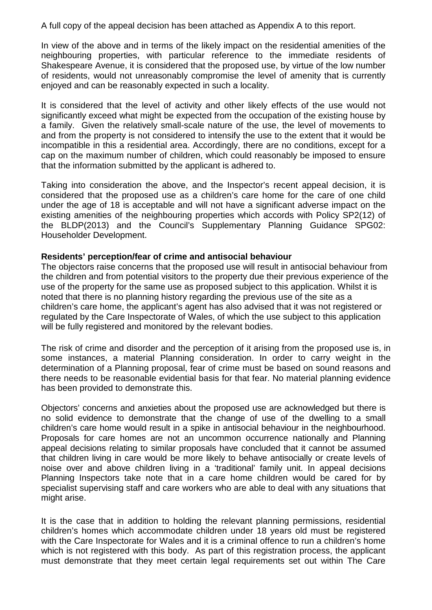A full copy of the appeal decision has been attached as Appendix A to this report.

In view of the above and in terms of the likely impact on the residential amenities of the neighbouring properties, with particular reference to the immediate residents of Shakespeare Avenue, it is considered that the proposed use, by virtue of the low number of residents, would not unreasonably compromise the level of amenity that is currently enjoyed and can be reasonably expected in such a locality.

It is considered that the level of activity and other likely effects of the use would not significantly exceed what might be expected from the occupation of the existing house by a family. Given the relatively small-scale nature of the use, the level of movements to and from the property is not considered to intensify the use to the extent that it would be incompatible in this a residential area. Accordingly, there are no conditions, except for a cap on the maximum number of children, which could reasonably be imposed to ensure that the information submitted by the applicant is adhered to.

Taking into consideration the above, and the Inspector's recent appeal decision, it is considered that the proposed use as a children's care home for the care of one child under the age of 18 is acceptable and will not have a significant adverse impact on the existing amenities of the neighbouring properties which accords with Policy SP2(12) of the BLDP(2013) and the Council's Supplementary Planning Guidance SPG02: Householder Development.

#### **Residents' perception/fear of crime and antisocial behaviour**

The objectors raise concerns that the proposed use will result in antisocial behaviour from the children and from potential visitors to the property due their previous experience of the use of the property for the same use as proposed subject to this application. Whilst it is noted that there is no planning history regarding the previous use of the site as a children's care home, the applicant's agent has also advised that it was not registered or regulated by the Care Inspectorate of Wales, of which the use subject to this application will be fully registered and monitored by the relevant bodies.

The risk of crime and disorder and the perception of it arising from the proposed use is, in some instances, a material Planning consideration. In order to carry weight in the determination of a Planning proposal, fear of crime must be based on sound reasons and there needs to be reasonable evidential basis for that fear. No material planning evidence has been provided to demonstrate this.

Objectors' concerns and anxieties about the proposed use are acknowledged but there is no solid evidence to demonstrate that the change of use of the dwelling to a small children's care home would result in a spike in antisocial behaviour in the neighbourhood. Proposals for care homes are not an uncommon occurrence nationally and Planning appeal decisions relating to similar proposals have concluded that it cannot be assumed that children living in care would be more likely to behave antisocially or create levels of noise over and above children living in a 'traditional' family unit. In appeal decisions Planning Inspectors take note that in a care home children would be cared for by specialist supervising staff and care workers who are able to deal with any situations that might arise.

It is the case that in addition to holding the relevant planning permissions, residential children's homes which accommodate children under 18 years old must be registered with the Care Inspectorate for Wales and it is a criminal offence to run a children's home which is not registered with this body. As part of this registration process, the applicant must demonstrate that they meet certain legal requirements set out within The Care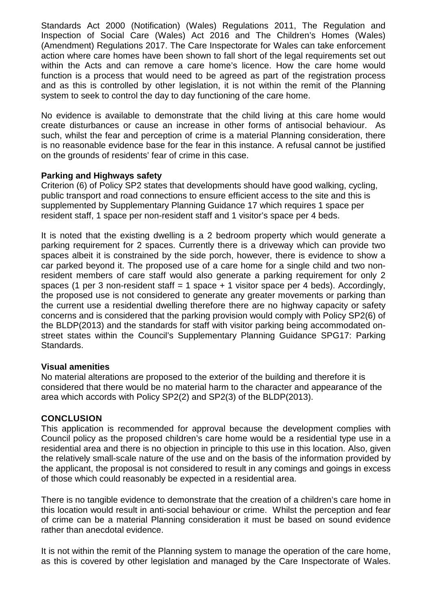Standards Act 2000 (Notification) (Wales) Regulations 2011, The [Regulation and](http://www.legislation.gov.uk/id/anaw/2016/2)  [Inspection of Social Care \(Wales\) Act 2016 a](http://www.legislation.gov.uk/id/anaw/2016/2)nd The Children's Homes (Wales) (Amendment) Regulations 2017. The Care Inspectorate for Wales can take enforcement action where care homes have been shown to fall short of the legal requirements set out within the Acts and can remove a care home's licence. How the care home would function is a process that would need to be agreed as part of the registration process and as this is controlled by other legislation, it is not within the remit of the Planning system to seek to control the day to day functioning of the care home.

No evidence is available to demonstrate that the child living at this care home would create disturbances or cause an increase in other forms of antisocial behaviour. As such, whilst the fear and perception of crime is a material Planning consideration, there is no reasonable evidence base for the fear in this instance. A refusal cannot be justified on the grounds of residents' fear of crime in this case.

#### **Parking and Highways safety**

Criterion (6) of Policy SP2 states that developments should have good walking, cycling, public transport and road connections to ensure efficient access to the site and this is supplemented by Supplementary Planning Guidance 17 which requires 1 space per resident staff, 1 space per non-resident staff and 1 visitor's space per 4 beds.

It is noted that the existing dwelling is a 2 bedroom property which would generate a parking requirement for 2 spaces. Currently there is a driveway which can provide two spaces albeit it is constrained by the side porch, however, there is evidence to show a car parked beyond it. The proposed use of a care home for a single child and two nonresident members of care staff would also generate a parking requirement for only 2 spaces (1 per 3 non-resident staff = 1 space  $+$  1 visitor space per 4 beds). Accordingly, the proposed use is not considered to generate any greater movements or parking than the current use a residential dwelling therefore there are no highway capacity or safety concerns and is considered that the parking provision would comply with Policy SP2(6) of the BLDP(2013) and the standards for staff with visitor parking being accommodated onstreet states within the Council's Supplementary Planning Guidance SPG17: Parking Standards.

#### **Visual amenities**

No material alterations are proposed to the exterior of the building and therefore it is considered that there would be no material harm to the character and appearance of the area which accords with Policy SP2(2) and SP2(3) of the BLDP(2013).

#### **CONCLUSION**

This application is recommended for approval because the development complies with Council policy as the proposed children's care home would be a residential type use in a residential area and there is no objection in principle to this use in this location. Also, given the relatively small-scale nature of the use and on the basis of the information provided by the applicant, the proposal is not considered to result in any comings and goings in excess of those which could reasonably be expected in a residential area.

There is no tangible evidence to demonstrate that the creation of a children's care home in this location would result in anti-social behaviour or crime. Whilst the perception and fear of crime can be a material Planning consideration it must be based on sound evidence rather than anecdotal evidence.

It is not within the remit of the Planning system to manage the operation of the care home, as this is covered by other legislation and managed by the Care Inspectorate of Wales.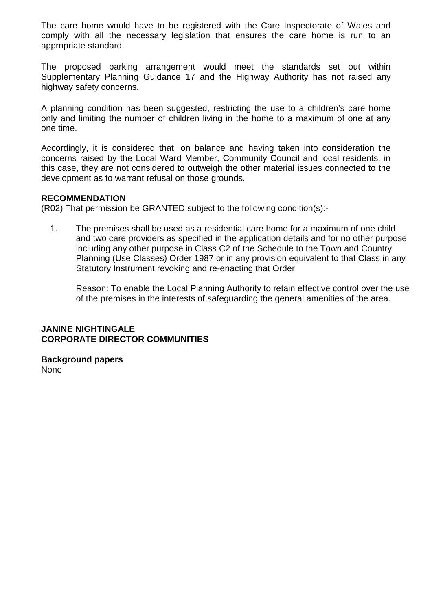The care home would have to be registered with the Care Inspectorate of Wales and comply with all the necessary legislation that ensures the care home is run to an appropriate standard.

The proposed parking arrangement would meet the standards set out within Supplementary Planning Guidance 17 and the Highway Authority has not raised any highway safety concerns.

A planning condition has been suggested, restricting the use to a children's care home only and limiting the number of children living in the home to a maximum of one at any one time.

Accordingly, it is considered that, on balance and having taken into consideration the concerns raised by the Local Ward Member, Community Council and local residents, in this case, they are not considered to outweigh the other material issues connected to the development as to warrant refusal on those grounds.

#### **RECOMMENDATION**

(R02) That permission be GRANTED subject to the following condition(s):-

1. The premises shall be used as a residential care home for a maximum of one child and two care providers as specified in the application details and for no other purpose including any other purpose in Class C2 of the Schedule to the Town and Country Planning (Use Classes) Order 1987 or in any provision equivalent to that Class in any Statutory Instrument revoking and re-enacting that Order.

Reason: To enable the Local Planning Authority to retain effective control over the use of the premises in the interests of safeguarding the general amenities of the area.

# **JANINE NIGHTINGALE CORPORATE DIRECTOR COMMUNITIES**

**Background papers**  None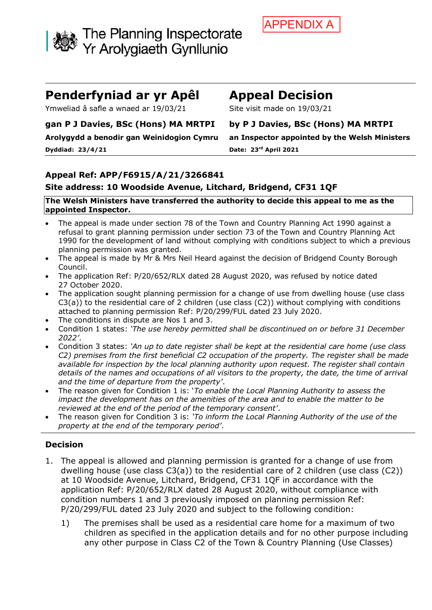

# **Penderfyniad ar yr Apêl Appeal Decision**

Ymweliad â safle a wnaed ar 19/03/21 Site visit made on 19/03/21

#### **gan P J Davies, BSc (Hons) MA MRTPI by P J Davies, BSc (Hons) MA MRTPI**

**Dyddiad: 23/4/21 Date: 23rd April 2021**

**Arolygydd a benodir gan Weinidogion Cymru an Inspector appointed by the Welsh Ministers**

# **Appeal Ref: APP/F6915/A/21/3266841**

# **Site address: 10 Woodside Avenue, Litchard, Bridgend, CF31 1QF**

#### **The Welsh Ministers have transferred the authority to decide this appeal to me as the appointed Inspector.**

- The appeal is made under section 78 of the Town and Country Planning Act 1990 against a refusal to grant planning permission under section 73 of the Town and Country Planning Act 1990 for the development of land without complying with conditions subject to which a previous planning permission was granted.
- The appeal is made by Mr & Mrs Neil Heard against the decision of Bridgend County Borough Council.
- The application Ref: P/20/652/RLX dated 28 August 2020, was refused by notice dated 27 October 2020.
- The application sought planning permission for a change of use from dwelling house (use class C3(a)) to the residential care of 2 children (use class (C2)) without complying with conditions attached to planning permission Ref: P/20/299/FUL dated 23 July 2020.
- The conditions in dispute are Nos 1 and 3.
- Condition 1 states: *'The use hereby permitted shall be discontinued on or before 31 December 2022'*.
- Condition 3 states: *'An up to date register shall be kept at the residential care home (use class C2) premises from the first beneficial C2 occupation of the property. The register shall be made available for inspection by the local planning authority upon request. The register shall contain details of the names and occupations of all visitors to the property, the date, the time of arrival and the time of departure from the property'*.
- The reason given for Condition 1 is: '*To enable the Local Planning Authority to assess the impact the development has on the amenities of the area and to enable the matter to be reviewed at the end of the period of the temporary consent'*.
- The reason given for Condition 3 is: *'To inform the Local Planning Authority of the use of the property at the end of the temporary period'*.

# **Decision**

- 1. The appeal is allowed and planning permission is granted for a change of use from dwelling house (use class C3(a)) to the residential care of 2 children (use class (C2)) at 10 Woodside Avenue, Litchard, Bridgend, CF31 1QF in accordance with the application Ref: P/20/652/RLX dated 28 August 2020, without compliance with condition numbers 1 and 3 previously imposed on planning permission Ref: P/20/299/FUL dated 23 July 2020 and subject to the following condition:
	- 1) The premises shall be used as a residential care home for a maximum of two children as specified in the application details and for no other purpose including any other purpose in Class C2 of the Town & Country Planning (Use Classes)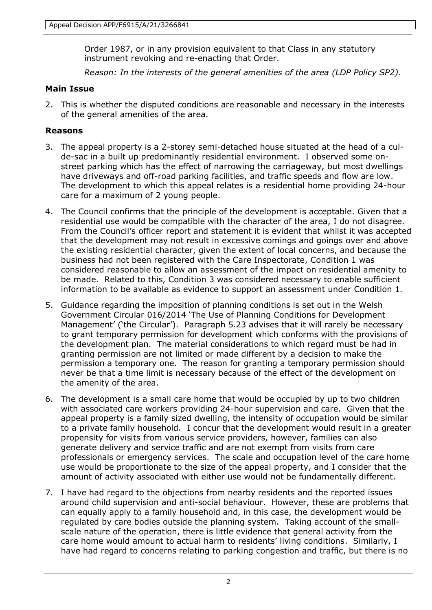Order 1987, or in any provision equivalent to that Class in any statutory instrument revoking and re-enacting that Order.

*Reason: In the interests of the general amenities of the area (LDP Policy SP2).*

### **Main Issue**

2. This is whether the disputed conditions are reasonable and necessary in the interests of the general amenities of the area.

### **Reasons**

- 3. The appeal property is a 2-storey semi-detached house situated at the head of a culde-sac in a built up predominantly residential environment. I observed some onstreet parking which has the effect of narrowing the carriageway, but most dwellings have driveways and off-road parking facilities, and traffic speeds and flow are low. The development to which this appeal relates is a residential home providing 24-hour care for a maximum of 2 young people.
- 4. The Council confirms that the principle of the development is acceptable. Given that a residential use would be compatible with the character of the area, I do not disagree. From the Council's officer report and statement it is evident that whilst it was accepted that the development may not result in excessive comings and goings over and above the existing residential character, given the extent of local concerns, and because the business had not been registered with the Care Inspectorate, Condition 1 was considered reasonable to allow an assessment of the impact on residential amenity to be made. Related to this, Condition 3 was considered necessary to enable sufficient information to be available as evidence to support an assessment under Condition 1.
- 5. Guidance regarding the imposition of planning conditions is set out in the Welsh Government Circular 016/2014 'The Use of Planning Conditions for Development Management' ('the Circular'). Paragraph 5.23 advises that it will rarely be necessary to grant temporary permission for development which conforms with the provisions of the development plan. The material considerations to which regard must be had in granting permission are not limited or made different by a decision to make the permission a temporary one. The reason for granting a temporary permission should never be that a time limit is necessary because of the effect of the development on the amenity of the area.
- 6. The development is a small care home that would be occupied by up to two children with associated care workers providing 24-hour supervision and care. Given that the appeal property is a family sized dwelling, the intensity of occupation would be similar to a private family household. I concur that the development would result in a greater propensity for visits from various service providers, however, families can also generate delivery and service traffic and are not exempt from visits from care professionals or emergency services. The scale and occupation level of the care home use would be proportionate to the size of the appeal property, and I consider that the amount of activity associated with either use would not be fundamentally different.
- 7. I have had regard to the objections from nearby residents and the reported issues around child supervision and anti-social behaviour. However, these are problems that can equally apply to a family household and, in this case, the development would be regulated by care bodies outside the planning system. Taking account of the smallscale nature of the operation, there is little evidence that general activity from the care home would amount to actual harm to residents' living conditions. Similarly, I have had regard to concerns relating to parking congestion and traffic, but there is no